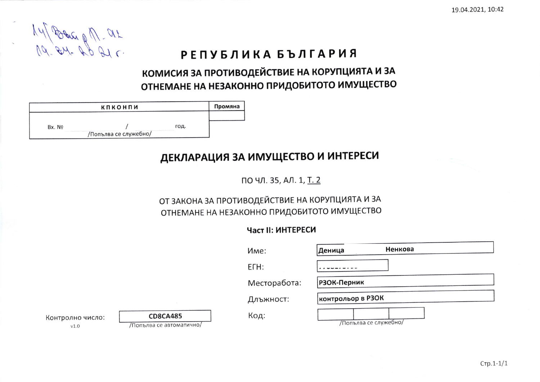$14\sqrt{8}$  due of  $1.42$ 

# РЕПУБЛИКА БЪЛГАРИЯ

### КОМИСИЯ ЗА ПРОТИВОДЕЙСТВИЕ НА КОРУПЦИЯТА И ЗА ОТНЕМАНЕ НА НЕЗАКОННО ПРИДОБИТОТО ИМУЩЕСТВО

|        | кпконпи               |      | Промяна |
|--------|-----------------------|------|---------|
| Bx. No |                       | год. |         |
|        | /Попълва се служебно/ |      |         |

## ДЕКЛАРАЦИЯ ЗА ИМУЩЕСТВО И ИНТЕРЕСИ

ПО ЧЛ. 35, АЛ. 1, Т. 2

### ОТ ЗАКОНА ЗА ПРОТИВОДЕЙСТВИЕ НА КОРУПЦИЯТА И ЗА ОТНЕМАНЕ НА НЕЗАКОННО ПРИДОБИТОТО ИМУЩЕСТВО

### Част II: ИНТЕРЕСИ

|                          |                                             | Име:         | Ненкова<br>Деница     |
|--------------------------|---------------------------------------------|--------------|-----------------------|
|                          |                                             | ETH:         |                       |
|                          |                                             | Месторабота: | РЗОК-Перник           |
|                          |                                             | Длъжност:    | контрольор в РЗОК     |
| Контролно число:<br>V1.0 | <b>CD8CA485</b><br>/Попълва се автоматично/ | Код:         | /Попълва се служебно/ |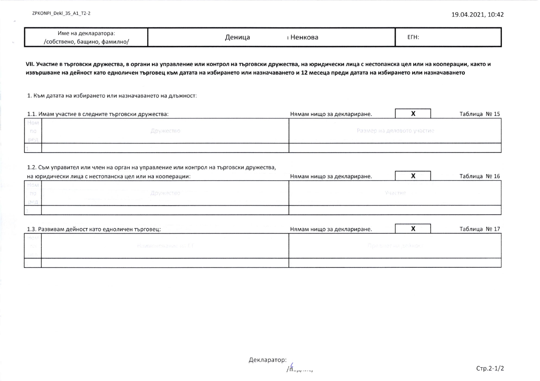| \ декларатора:<br>име<br>` Hâ<br>фамилно/<br>/собствено<br>башино. | Ненкова<br>1еница | $- -$<br><u>.</u><br>------- |
|--------------------------------------------------------------------|-------------------|------------------------------|
|--------------------------------------------------------------------|-------------------|------------------------------|

VII. Участие в търговски дружества, в органи на управление или контрол на търговски дружества, на юридически лица с нестопанска цел или на кооперации, както и извършване на дейност като едноличен търговец към датата на избирането или назначаването и 12 месеца преди датата на избирането или назначаването

1. Към датата на избирането или назначаването на длъжност:

| 1.1. Имам участие в следните търговски дружества: | Нямам нищо за деклариране. |  | Таблица № 15 |
|---------------------------------------------------|----------------------------|--|--------------|
|                                                   |                            |  |              |
| Дружество                                         | Размер на дяловото участие |  |              |
|                                                   |                            |  |              |
|                                                   |                            |  |              |

#### 1.2. Съм управител или член на орган на управление или контрол на търговски дружества,

| на юридически лица с нестопанска цел или на кооперации: | Нямам нищо за деклариране. |         | Таблица № 16 |
|---------------------------------------------------------|----------------------------|---------|--------------|
|                                                         |                            |         |              |
| Дружество                                               |                            | Участие |              |
|                                                         |                            |         |              |
|                                                         |                            |         |              |

| 1.3. Развивам дейност като едноличен търговец: | Нямам нищо за деклариране. | Таблица № 17 |
|------------------------------------------------|----------------------------|--------------|
|                                                |                            |              |
| MINDOLPOLAHAN HALL                             | Предметни дейност          |              |
|                                                |                            |              |
|                                                |                            |              |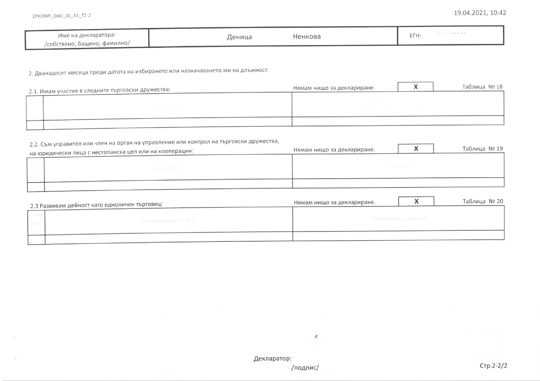| Име на декларатора:          | Ненкова<br>⊥еница | EFH: |
|------------------------------|-------------------|------|
| /собствено, бащино, фамилно/ |                   |      |

2. Дванадесет месеца преди датата на избирането или назначаването ми на длъжност:

| 2.1. Имам участие в следните търговски дружества: | Нямам нищо за деклариране. |  | Таблица № 18 |
|---------------------------------------------------|----------------------------|--|--------------|
|                                                   |                            |  |              |
|                                                   | 그냥 사용하게 아이가 아니 아이들이 어려워요.  |  |              |
|                                                   |                            |  |              |
|                                                   |                            |  |              |

### 2.2. Съм управител или член на орган на управление или контрол на търговски дружества,

| L, L, U<br>на юридически лица с нестопанска цел или на кооперации: | Нямам нищо за деклариране. |                 | Таблица № 19 |
|--------------------------------------------------------------------|----------------------------|-----------------|--------------|
|                                                                    |                            |                 |              |
| Дружество                                                          |                            | <b>VARE ERR</b> |              |
|                                                                    |                            |                 |              |
|                                                                    |                            |                 |              |

| 2.3 Развивам дейност като едноличен търговец: | Нямам нищо за деклариране. |                    | Таблица № 20 |  |  |
|-----------------------------------------------|----------------------------|--------------------|--------------|--|--|
| Наименование на Ет                            |                            | Предмет на дейност |              |  |  |
|                                               |                            |                    |              |  |  |